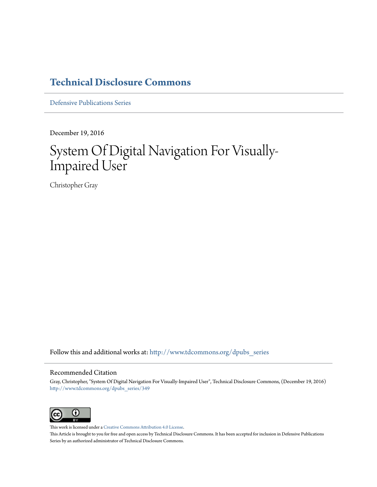### **[Technical Disclosure Commons](http://www.tdcommons.org?utm_source=www.tdcommons.org%2Fdpubs_series%2F349&utm_medium=PDF&utm_campaign=PDFCoverPages)**

[Defensive Publications Series](http://www.tdcommons.org/dpubs_series?utm_source=www.tdcommons.org%2Fdpubs_series%2F349&utm_medium=PDF&utm_campaign=PDFCoverPages)

December 19, 2016

# System Of Digital Navigation For Visually-Impaired User

Christopher Gray

Follow this and additional works at: [http://www.tdcommons.org/dpubs\\_series](http://www.tdcommons.org/dpubs_series?utm_source=www.tdcommons.org%2Fdpubs_series%2F349&utm_medium=PDF&utm_campaign=PDFCoverPages)

#### Recommended Citation

Gray, Christopher, "System Of Digital Navigation For Visually-Impaired User", Technical Disclosure Commons, (December 19, 2016) [http://www.tdcommons.org/dpubs\\_series/349](http://www.tdcommons.org/dpubs_series/349?utm_source=www.tdcommons.org%2Fdpubs_series%2F349&utm_medium=PDF&utm_campaign=PDFCoverPages)



This work is licensed under a [Creative Commons Attribution 4.0 License.](http://creativecommons.org/licenses/by/4.0/deed.en_US) This Article is brought to you for free and open access by Technical Disclosure Commons. It has been accepted for inclusion in Defensive Publications Series by an authorized administrator of Technical Disclosure Commons.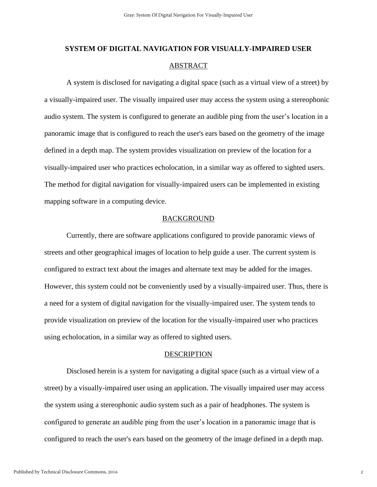## **SYSTEM OF DIGITAL NAVIGATION FOR VISUALLY-IMPAIRED USER** ABSTRACT

A system is disclosed for navigating a digital space (such as a virtual view of a street) by a visually-impaired user. The visually impaired user may access the system using a stereophonic audio system. The system is configured to generate an audible ping from the user's location in a panoramic image that is configured to reach the user's ears based on the geometry of the image defined in a depth map. The system provides visualization on preview of the location for a visually-impaired user who practices echolocation, in a similar way as offered to sighted users. The method for digital navigation for visually-impaired users can be implemented in existing mapping software in a computing device.

### BACKGROUND

Currently, there are software applications configured to provide panoramic views of streets and other geographical images of location to help guide a user. The current system is configured to extract text about the images and alternate text may be added for the images. However, this system could not be conveniently used by a visually-impaired user. Thus, there is a need for a system of digital navigation for the visually-impaired user. The system tends to provide visualization on preview of the location for the visually-impaired user who practices using echolocation, in a similar way as offered to sighted users.

#### DESCRIPTION

Disclosed herein is a system for navigating a digital space (such as a virtual view of a street) by a visually-impaired user using an application. The visually impaired user may access the system using a stereophonic audio system such as a pair of headphones. The system is configured to generate an audible ping from the user's location in a panoramic image that is configured to reach the user's ears based on the geometry of the image defined in a depth map.